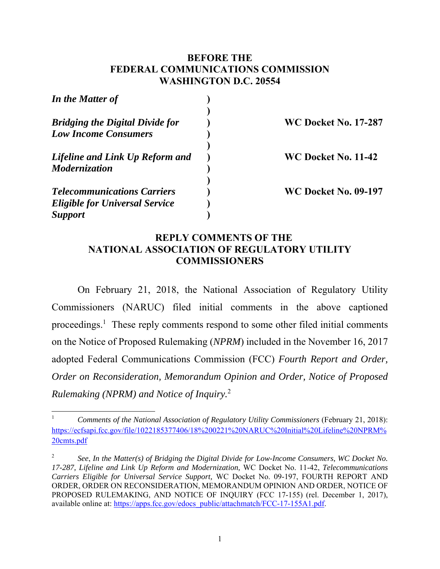### **BEFORE THE FEDERAL COMMUNICATIONS COMMISSION WASHINGTON D.C. 20554**

| In the Matter of                       |                             |
|----------------------------------------|-----------------------------|
| <b>Bridging the Digital Divide for</b> | <b>WC Docket No. 17-287</b> |
| <b>Low Income Consumers</b>            |                             |
| Lifeline and Link Up Reform and        | WC Docket No. 11-42         |
| Modernization                          |                             |
| <b>Telecommunications Carriers</b>     | <b>WC Docket No. 09-197</b> |
| <b>Eligible for Universal Service</b>  |                             |
| <b>Support</b>                         |                             |

### **REPLY COMMENTS OF THE NATIONAL ASSOCIATION OF REGULATORY UTILITY COMMISSIONERS**

On February 21, 2018, the National Association of Regulatory Utility Commissioners (NARUC) filed initial comments in the above captioned proceedings.<sup>1</sup> These reply comments respond to some other filed initial comments on the Notice of Proposed Rulemaking (*NPRM*) included in the November 16, 2017 adopted Federal Communications Commission (FCC) *Fourth Report and Order, Order on Reconsideration, Memorandum Opinion and Order, Notice of Proposed Rulemaking (NPRM) and Notice of Inquiry.*<sup>2</sup>

<sup>1</sup> *Comments of the National Association of Regulatory Utility Commissioners* (February 21, 2018): https://ecfsapi.fcc.gov/file/1022185377406/18%200221%20NARUC%20Initial%20Lifeline%20NPRM% 20cmts.pdf

<sup>2</sup> *See*, *In the Matter(s) of Bridging the Digital Divide for Low-Income Consumers, WC Docket No. 17-287, Lifeline and Link Up Reform and Modernization,* WC Docket No. 11-42, *Telecommunications Carriers Eligible for Universal Service Support,* WC Docket No. 09-197, FOURTH REPORT AND ORDER, ORDER ON RECONSIDERATION, MEMORANDUM OPINION AND ORDER, NOTICE OF PROPOSED RULEMAKING, AND NOTICE OF INQUIRY (FCC 17-155) (rel. December 1, 2017), available online at: https://apps.fcc.gov/edocs\_public/attachmatch/FCC-17-155A1.pdf.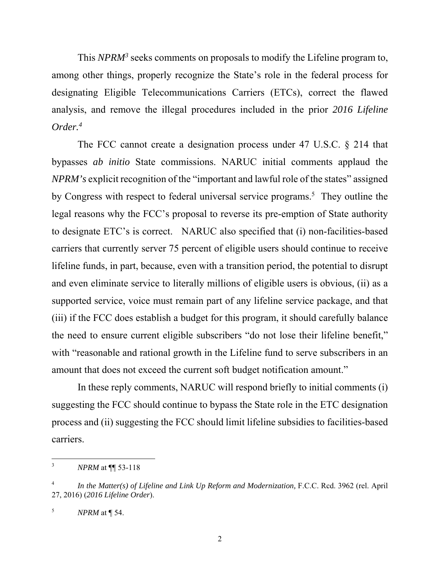This *NPRM*<sup>3</sup> seeks comments on proposals to modify the Lifeline program to, among other things, properly recognize the State's role in the federal process for designating Eligible Telecommunications Carriers (ETCs), correct the flawed analysis, and remove the illegal procedures included in the prior *2016 Lifeline Order.4*

The FCC cannot create a designation process under 47 U.S.C. § 214 that bypasses *ab initio* State commissions. NARUC initial comments applaud the *NPRM's* explicit recognition of the "important and lawful role of the states" assigned by Congress with respect to federal universal service programs.<sup>5</sup> They outline the legal reasons why the FCC's proposal to reverse its pre-emption of State authority to designate ETC's is correct. NARUC also specified that (i) non-facilities-based carriers that currently server 75 percent of eligible users should continue to receive lifeline funds, in part, because, even with a transition period, the potential to disrupt and even eliminate service to literally millions of eligible users is obvious, (ii) as a supported service, voice must remain part of any lifeline service package, and that (iii) if the FCC does establish a budget for this program, it should carefully balance the need to ensure current eligible subscribers "do not lose their lifeline benefit," with "reasonable and rational growth in the Lifeline fund to serve subscribers in an amount that does not exceed the current soft budget notification amount."

In these reply comments, NARUC will respond briefly to initial comments (i) suggesting the FCC should continue to bypass the State role in the ETC designation process and (ii) suggesting the FCC should limit lifeline subsidies to facilities-based carriers.

 3 *NPRM* at ¶¶ 53-118

<sup>4</sup> *In the Matter(s) of Lifeline and Link Up Reform and Modernization,* F.C.C. Rcd. 3962 (rel. April 27, 2016) (*2016 Lifeline Order*).

<sup>5</sup> *NPRM* at ¶ 54.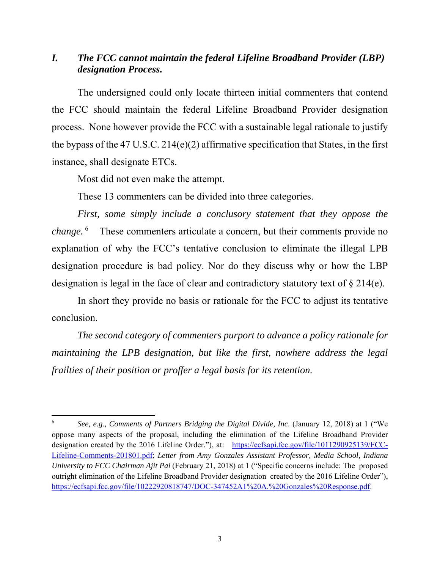## *I. The FCC cannot maintain the federal Lifeline Broadband Provider (LBP) designation Process.*

The undersigned could only locate thirteen initial commenters that contend the FCC should maintain the federal Lifeline Broadband Provider designation process. None however provide the FCC with a sustainable legal rationale to justify the bypass of the 47 U.S.C. 214(e)(2) affirmative specification that States, in the first instance, shall designate ETCs.

Most did not even make the attempt.

These 13 commenters can be divided into three categories.

*First, some simply include a conclusory statement that they oppose the change.* 6 These commenters articulate a concern, but their comments provide no explanation of why the FCC's tentative conclusion to eliminate the illegal LPB designation procedure is bad policy. Nor do they discuss why or how the LBP designation is legal in the face of clear and contradictory statutory text of § 214(e).

In short they provide no basis or rationale for the FCC to adjust its tentative conclusion.

*The second category of commenters purport to advance a policy rationale for maintaining the LPB designation, but like the first, nowhere address the legal frailties of their position or proffer a legal basis for its retention.* 

<sup>6</sup> *See, e.g., Comments of Partners Bridging the Digital Divide, Inc*. (January 12, 2018) at 1 ("We oppose many aspects of the proposal, including the elimination of the Lifeline Broadband Provider designation created by the 2016 Lifeline Order."), at: https://ecfsapi.fcc.gov/file/1011290925139/FCC-Lifeline-Comments-201801.pdf; *Letter from Amy Gonzales Assistant Professor, Media School, Indiana University to FCC Chairman Ajit Pai* (February 21, 2018) at 1 ("Specific concerns include: The proposed outright elimination of the Lifeline Broadband Provider designation created by the 2016 Lifeline Order"), https://ecfsapi.fcc.gov/file/10222920818747/DOC-347452A1%20A.%20Gonzales%20Response.pdf.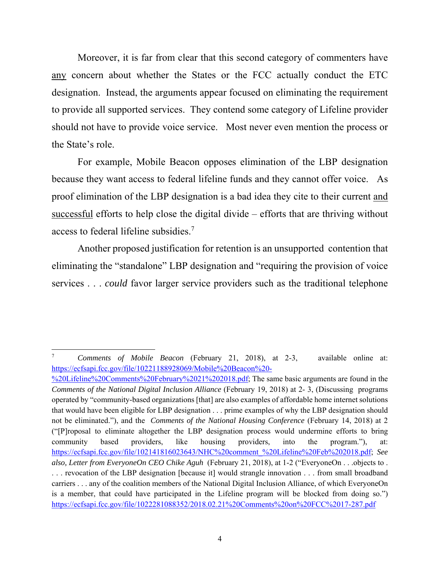Moreover, it is far from clear that this second category of commenters have any concern about whether the States or the FCC actually conduct the ETC designation. Instead, the arguments appear focused on eliminating the requirement to provide all supported services. They contend some category of Lifeline provider should not have to provide voice service. Most never even mention the process or the State's role.

For example, Mobile Beacon opposes elimination of the LBP designation because they want access to federal lifeline funds and they cannot offer voice. As proof elimination of the LBP designation is a bad idea they cite to their current and successful efforts to help close the digital divide – efforts that are thriving without access to federal lifeline subsidies.<sup>7</sup>

Another proposed justification for retention is an unsupported contention that eliminating the "standalone" LBP designation and "requiring the provision of voice services . . . *could* favor larger service providers such as the traditional telephone

 7 *Comments of Mobile Beacon* (February 21, 2018), at 2-3, available online at: https://ecfsapi.fcc.gov/file/10221188928069/Mobile%20Beacon%20-

<sup>%20</sup>Lifeline%20Comments%20February%2021%202018.pdf; The same basic arguments are found in the *Comments of the National Digital Inclusion Alliance* (February 19, 2018) at 2- 3, (Discussing programs operated by "community-based organizations [that] are also examples of affordable home internet solutions that would have been eligible for LBP designation . . . prime examples of why the LBP designation should not be eliminated."), and the *Comments of the National Housing Conference* (February 14, 2018) at 2 ("[P]roposal to eliminate altogether the LBP designation process would undermine efforts to bring community based providers, like housing providers, into the program."), at: https://ecfsapi.fcc.gov/file/102141816023643/NHC%20comment\_%20Lifeline%20Feb%202018.pdf; *See also, Letter from EveryoneOn CEO Chike Aguh* (February 21, 2018), at 1-2 ("EveryoneOn . . .objects to . . . . revocation of the LBP designation [because it] would strangle innovation . . . from small broadband carriers . . . any of the coalition members of the National Digital Inclusion Alliance, of which EveryoneOn is a member, that could have participated in the Lifeline program will be blocked from doing so.") https://ecfsapi.fcc.gov/file/1022281088352/2018.02.21%20Comments%20on%20FCC%2017-287.pdf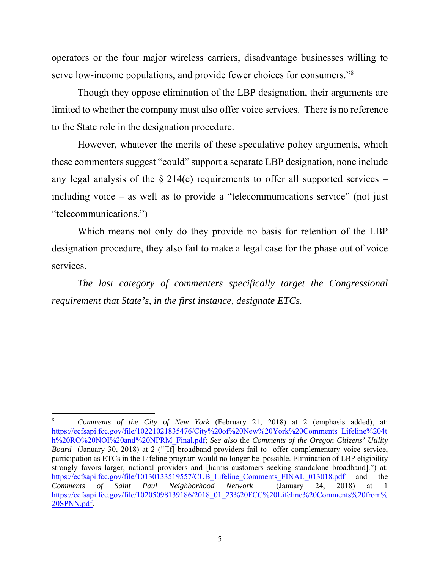operators or the four major wireless carriers, disadvantage businesses willing to serve low-income populations, and provide fewer choices for consumers."8

Though they oppose elimination of the LBP designation, their arguments are limited to whether the company must also offer voice services. There is no reference to the State role in the designation procedure.

However, whatever the merits of these speculative policy arguments, which these commenters suggest "could" support a separate LBP designation, none include any legal analysis of the  $\S 214(e)$  requirements to offer all supported services – including voice – as well as to provide a "telecommunications service" (not just "telecommunications.")

Which means not only do they provide no basis for retention of the LBP designation procedure, they also fail to make a legal case for the phase out of voice services.

*The last category of commenters specifically target the Congressional requirement that State's, in the first instance, designate ETCs.* 

<sup>8</sup> *Comments of the City of New York* (February 21, 2018) at 2 (emphasis added), at: https://ecfsapi.fcc.gov/file/10221021835476/City%20of%20New%20York%20Comments\_Lifeline%204t h%20RO%20NOI%20and%20NPRM\_Final.pdf; *See also* the *Comments of the Oregon Citizens' Utility Board* (January 30, 2018) at 2 ("[If] broadband providers fail to offer complementary voice service, participation as ETCs in the Lifeline program would no longer be possible. Elimination of LBP eligibility strongly favors larger, national providers and [harms customers seeking standalone broadband].") at: https://ecfsapi.fcc.gov/file/10130133519557/CUB\_Lifeline\_Comments\_FINAL\_013018.pdf and the<br>Comments of Saint Paul Neighborhood Network (January 24, 2018) at 1 *Comments of Saint Paul Neighborhood Network* (January 24, 2018) at 1 https://ecfsapi.fcc.gov/file/10205098139186/2018\_01\_23%20FCC%20Lifeline%20Comments%20from% 20SPNN.pdf.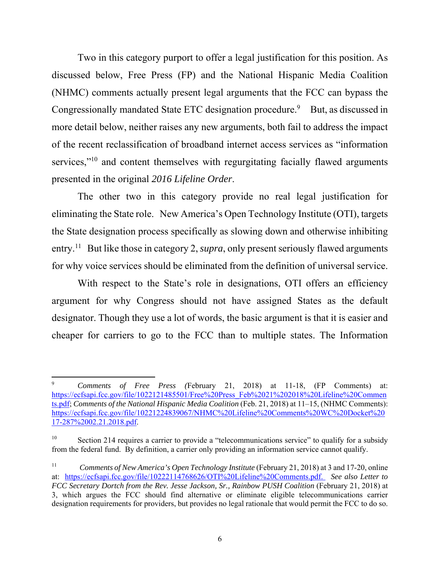Two in this category purport to offer a legal justification for this position. As discussed below, Free Press (FP) and the National Hispanic Media Coalition (NHMC) comments actually present legal arguments that the FCC can bypass the Congressionally mandated State ETC designation procedure.<sup>9</sup> But, as discussed in more detail below, neither raises any new arguments, both fail to address the impact of the recent reclassification of broadband internet access services as "information services,"<sup>10</sup> and content themselves with regurgitating facially flawed arguments presented in the original *2016 Lifeline Order*.

The other two in this category provide no real legal justification for eliminating the State role. New America's Open Technology Institute (OTI), targets the State designation process specifically as slowing down and otherwise inhibiting entry.<sup>11</sup> But like those in category 2, *supra*, only present seriously flawed arguments for why voice services should be eliminated from the definition of universal service.

With respect to the State's role in designations, OTI offers an efficiency argument for why Congress should not have assigned States as the default designator. Though they use a lot of words, the basic argument is that it is easier and cheaper for carriers to go to the FCC than to multiple states. The Information

<sup>9</sup> *Comments of Free Press (*February 21, 2018) at 11-18, (FP Comments) at: https://ecfsapi.fcc.gov/file/1022121485501/Free%20Press\_Feb%2021%202018%20Lifeline%20Commen ts.pdf; *Comments of the National Hispanic Media Coalition* (Feb. 21, 2018) at 11–15, (NHMC Comments): https://ecfsapi.fcc.gov/file/10221224839067/NHMC%20Lifeline%20Comments%20WC%20Docket%20 17-287%2002.21.2018.pdf.

<sup>&</sup>lt;sup>10</sup> Section 214 requires a carrier to provide a "telecommunications service" to qualify for a subsidy from the federal fund. By definition, a carrier only providing an information service cannot qualify.

<sup>11</sup> *Comments of New America's Open Technology Institute* (February 21, 2018) at 3 and 17-20, online at: https://ecfsapi.fcc.gov/file/10222114768626/OTI%20Lifeline%20Comments.pdf. *See also Letter to FCC Secretary Dortch from the Rev. Jesse Jackson, Sr., Rainbow PUSH Coalition* (February 21, 2018) at 3, which argues the FCC should find alternative or eliminate eligible telecommunications carrier designation requirements for providers, but provides no legal rationale that would permit the FCC to do so.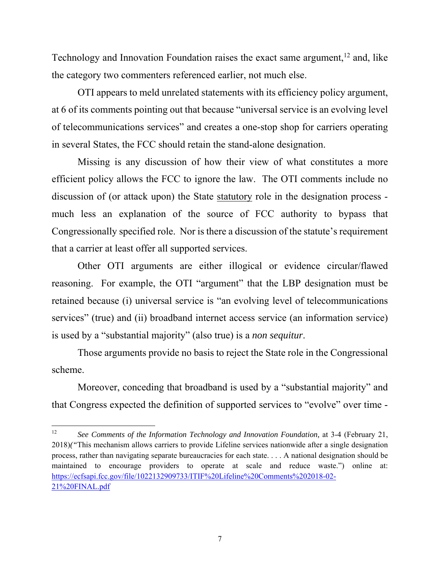Technology and Innovation Foundation raises the exact same argument, $12$  and, like the category two commenters referenced earlier, not much else.

OTI appears to meld unrelated statements with its efficiency policy argument, at 6 of its comments pointing out that because "universal service is an evolving level of telecommunications services" and creates a one-stop shop for carriers operating in several States, the FCC should retain the stand-alone designation.

Missing is any discussion of how their view of what constitutes a more efficient policy allows the FCC to ignore the law. The OTI comments include no discussion of (or attack upon) the State statutory role in the designation process much less an explanation of the source of FCC authority to bypass that Congressionally specified role. Nor is there a discussion of the statute's requirement that a carrier at least offer all supported services.

Other OTI arguments are either illogical or evidence circular/flawed reasoning. For example, the OTI "argument" that the LBP designation must be retained because (i) universal service is "an evolving level of telecommunications services" (true) and (ii) broadband internet access service (an information service) is used by a "substantial majority" (also true) is a *non sequitur*.

Those arguments provide no basis to reject the State role in the Congressional scheme.

Moreover, conceding that broadband is used by a "substantial majority" and that Congress expected the definition of supported services to "evolve" over time -

<sup>&</sup>lt;sup>12</sup> See Comments of the Information Technology and Innovation Foundation, at 3-4 (February 21, 2018)*("*This mechanism allows carriers to provide Lifeline services nationwide after a single designation process, rather than navigating separate bureaucracies for each state. . . . A national designation should be maintained to encourage providers to operate at scale and reduce waste.") online at: https://ecfsapi.fcc.gov/file/1022132909733/ITIF%20Lifeline%20Comments%202018-02- 21%20FINAL.pdf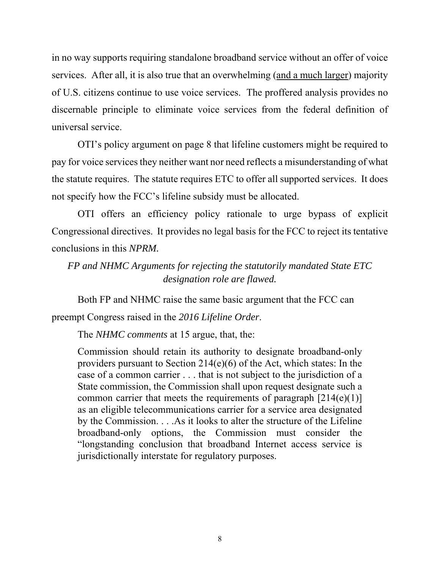in no way supports requiring standalone broadband service without an offer of voice services. After all, it is also true that an overwhelming (and a much larger) majority of U.S. citizens continue to use voice services. The proffered analysis provides no discernable principle to eliminate voice services from the federal definition of universal service.

OTI's policy argument on page 8 that lifeline customers might be required to pay for voice services they neither want nor need reflects a misunderstanding of what the statute requires. The statute requires ETC to offer all supported services. It does not specify how the FCC's lifeline subsidy must be allocated.

OTI offers an efficiency policy rationale to urge bypass of explicit Congressional directives. It provides no legal basis for the FCC to reject its tentative conclusions in this *NPRM.* 

# *FP and NHMC Arguments for rejecting the statutorily mandated State ETC designation role are flawed.*

Both FP and NHMC raise the same basic argument that the FCC can preempt Congress raised in the *2016 Lifeline Order*.

The *NHMC comments* at 15 argue, that, the:

Commission should retain its authority to designate broadband-only providers pursuant to Section 214(e)(6) of the Act, which states: In the case of a common carrier . . . that is not subject to the jurisdiction of a State commission, the Commission shall upon request designate such a common carrier that meets the requirements of paragraph  $[214(e)(1)]$ as an eligible telecommunications carrier for a service area designated by the Commission. . . .As it looks to alter the structure of the Lifeline broadband-only options, the Commission must consider the "longstanding conclusion that broadband Internet access service is jurisdictionally interstate for regulatory purposes.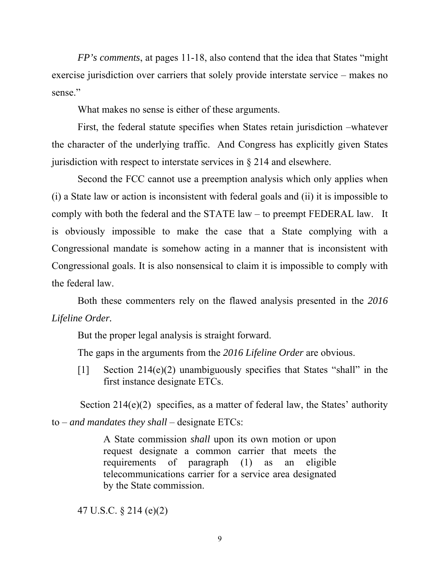*FP's comments*, at pages 11-18, also contend that the idea that States "might exercise jurisdiction over carriers that solely provide interstate service – makes no sense."

What makes no sense is either of these arguments.

First, the federal statute specifies when States retain jurisdiction –whatever the character of the underlying traffic. And Congress has explicitly given States jurisdiction with respect to interstate services in  $\S 214$  and elsewhere.

Second the FCC cannot use a preemption analysis which only applies when (i) a State law or action is inconsistent with federal goals and (ii) it is impossible to comply with both the federal and the STATE law – to preempt FEDERAL law. It is obviously impossible to make the case that a State complying with a Congressional mandate is somehow acting in a manner that is inconsistent with Congressional goals. It is also nonsensical to claim it is impossible to comply with the federal law.

Both these commenters rely on the flawed analysis presented in the *2016 Lifeline Order.*

But the proper legal analysis is straight forward.

The gaps in the arguments from the *2016 Lifeline Order* are obvious.

[1] Section 214(e)(2) unambiguously specifies that States "shall" in the first instance designate ETCs.

Section  $214(e)(2)$  specifies, as a matter of federal law, the States' authority to – *and mandates they shall* – designate ETCs:

> A State commission *shall* upon its own motion or upon request designate a common carrier that meets the requirements of paragraph (1) as an eligible telecommunications carrier for a service area designated by the State commission.

47 U.S.C. § 214 (e)(2)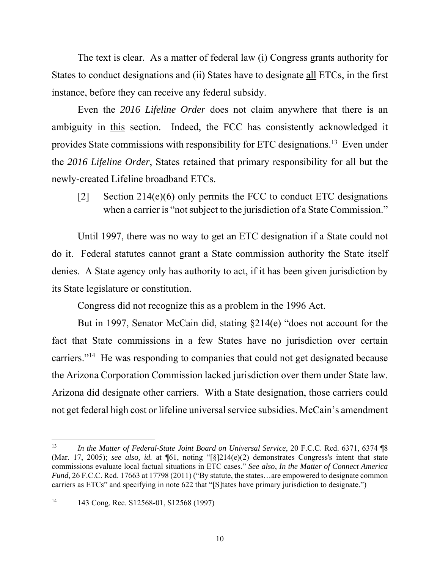The text is clear. As a matter of federal law (i) Congress grants authority for States to conduct designations and (ii) States have to designate all ETCs, in the first instance, before they can receive any federal subsidy.

 Even the *2016 Lifeline Order* does not claim anywhere that there is an ambiguity in this section. Indeed, the FCC has consistently acknowledged it provides State commissions with responsibility for ETC designations.13 Even under the *2016 Lifeline Order*, States retained that primary responsibility for all but the newly-created Lifeline broadband ETCs.

[2] Section 214(e)(6) only permits the FCC to conduct ETC designations when a carrier is "not subject to the jurisdiction of a State Commission."

 Until 1997, there was no way to get an ETC designation if a State could not do it. Federal statutes cannot grant a State commission authority the State itself denies. A State agency only has authority to act, if it has been given jurisdiction by its State legislature or constitution.

Congress did not recognize this as a problem in the 1996 Act.

 But in 1997, Senator McCain did, stating §214(e) "does not account for the fact that State commissions in a few States have no jurisdiction over certain carriers."<sup>14</sup> He was responding to companies that could not get designated because the Arizona Corporation Commission lacked jurisdiction over them under State law. Arizona did designate other carriers. With a State designation, those carriers could not get federal high cost or lifeline universal service subsidies. McCain's amendment

<sup>&</sup>lt;sup>13</sup> *In the Matter of Federal-State Joint Board on Universal Service*, 20 F.C.C. Rcd. 6371, 6374 ¶8 (Mar. 17, 2005); *see also, id.* at ¶61, noting "[§]214(e)(2) demonstrates Congress's intent that state commissions evaluate local factual situations in ETC cases." *See also*, *In the Matter of Connect America Fund*, 26 F.C.C. Rcd. 17663 at 17798 (2011) ("By statute, the states... are empowered to designate common carriers as ETCs" and specifying in note 622 that "[S]tates have primary jurisdiction to designate.")

<sup>&</sup>lt;sup>14</sup> 143 Cong. Rec. S12568-01, S12568 (1997)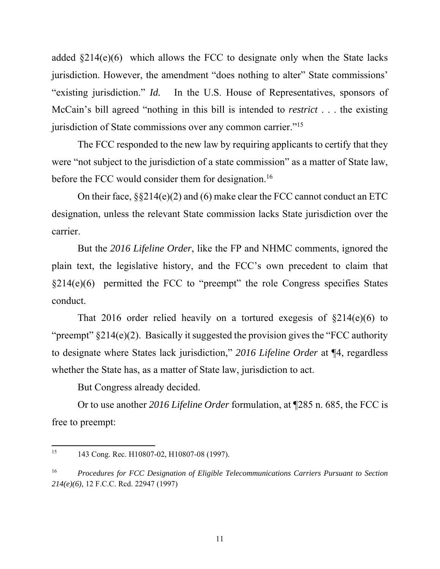added  $\S214(e)(6)$  which allows the FCC to designate only when the State lacks jurisdiction. However, the amendment "does nothing to alter" State commissions' "existing jurisdiction." *Id.* In the U.S. House of Representatives, sponsors of McCain's bill agreed "nothing in this bill is intended to *restrict* . . . the existing jurisdiction of State commissions over any common carrier."<sup>15</sup>

 The FCC responded to the new law by requiring applicants to certify that they were "not subject to the jurisdiction of a state commission" as a matter of State law, before the FCC would consider them for designation.<sup>16</sup>

 On their face, §§214(e)(2) and (6) make clear the FCC cannot conduct an ETC designation, unless the relevant State commission lacks State jurisdiction over the carrier.

 But the *2016 Lifeline Order*, like the FP and NHMC comments, ignored the plain text, the legislative history, and the FCC's own precedent to claim that  $§214(e)(6)$  permitted the FCC to "preempt" the role Congress specifies States conduct.

That 2016 order relied heavily on a tortured exegesis of  $\S214(e)(6)$  to "preempt"  $§214(e)(2)$ . Basically it suggested the provision gives the "FCC authority" to designate where States lack jurisdiction," *2016 Lifeline Order* at ¶4, regardless whether the State has, as a matter of State law, jurisdiction to act.

But Congress already decided.

 Or to use another *2016 Lifeline Order* formulation, at ¶285 n. 685, the FCC is free to preempt:

<sup>&</sup>lt;sup>15</sup> 143 Cong. Rec. H10807-02, H10807-08 (1997).

<sup>16</sup> *Procedures for FCC Designation of Eligible Telecommunications Carriers Pursuant to Section 214(e)(6)*, 12 F.C.C. Rcd. 22947 (1997)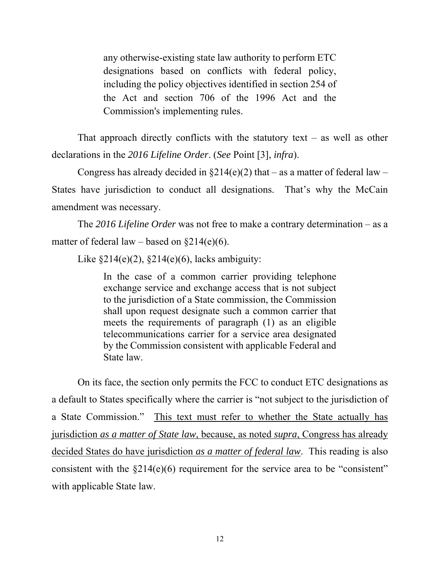any otherwise-existing state law authority to perform ETC designations based on conflicts with federal policy, including the policy objectives identified in section 254 of the Act and section 706 of the 1996 Act and the Commission's implementing rules.

That approach directly conflicts with the statutory text – as well as other declarations in the *2016 Lifeline Order*. (*See* Point [3], *infra*).

Congress has already decided in  $\S214(e)(2)$  that – as a matter of federal law – States have jurisdiction to conduct all designations. That's why the McCain amendment was necessary.

 The *2016 Lifeline Order* was not free to make a contrary determination – as a matter of federal law – based on  $\S214(e)(6)$ .

Like  $\S214(e)(2)$ ,  $\S214(e)(6)$ , lacks ambiguity:

In the case of a common carrier providing telephone exchange service and exchange access that is not subject to the jurisdiction of a State commission, the Commission shall upon request designate such a common carrier that meets the requirements of paragraph (1) as an eligible telecommunications carrier for a service area designated by the Commission consistent with applicable Federal and State law.

 On its face, the section only permits the FCC to conduct ETC designations as a default to States specifically where the carrier is "not subject to the jurisdiction of a State Commission." This text must refer to whether the State actually has jurisdiction *as a matter of State law*, because, as noted *supra*, Congress has already decided States do have jurisdiction *as a matter of federal law*. This reading is also consistent with the  $\S214(e)(6)$  requirement for the service area to be "consistent" with applicable State law.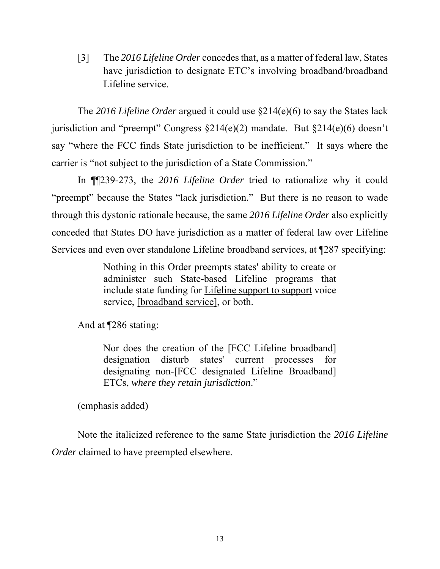[3] The *2016 Lifeline Order* concedes that, as a matter of federal law, States have jurisdiction to designate ETC's involving broadband/broadband Lifeline service.

 The *2016 Lifeline Order* argued it could use §214(e)(6) to say the States lack jurisdiction and "preempt" Congress §214(e)(2) mandate. But §214(e)(6) doesn't say "where the FCC finds State jurisdiction to be inefficient." It says where the carrier is "not subject to the jurisdiction of a State Commission."

 In ¶¶239-273, the *2016 Lifeline Order* tried to rationalize why it could "preempt" because the States "lack jurisdiction." But there is no reason to wade through this dystonic rationale because, the same *2016 Lifeline Order* also explicitly conceded that States DO have jurisdiction as a matter of federal law over Lifeline Services and even over standalone Lifeline broadband services, at ¶287 specifying:

> Nothing in this Order preempts states' ability to create or administer such State-based Lifeline programs that include state funding for Lifeline support to support voice service, [broadband service], or both.

And at ¶286 stating:

Nor does the creation of the [FCC Lifeline broadband] designation disturb states' current processes for designating non-[FCC designated Lifeline Broadband] ETCs, *where they retain jurisdiction*."

(emphasis added)

 Note the italicized reference to the same State jurisdiction the *2016 Lifeline Order* claimed to have preempted elsewhere.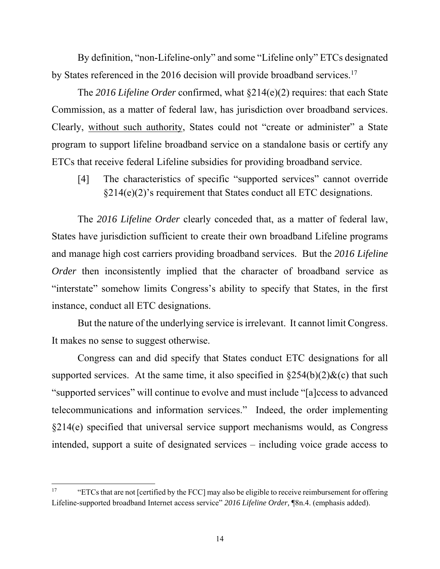By definition, "non-Lifeline-only" and some "Lifeline only" ETCs designated by States referenced in the 2016 decision will provide broadband services.<sup>17</sup>

 The *2016 Lifeline Order* confirmed, what §214(e)(2) requires: that each State Commission, as a matter of federal law, has jurisdiction over broadband services. Clearly, without such authority, States could not "create or administer" a State program to support lifeline broadband service on a standalone basis or certify any ETCs that receive federal Lifeline subsidies for providing broadband service.

[4] The characteristics of specific "supported services" cannot override  $§214(e)(2)'$ s requirement that States conduct all ETC designations.

 The *2016 Lifeline Order* clearly conceded that, as a matter of federal law, States have jurisdiction sufficient to create their own broadband Lifeline programs and manage high cost carriers providing broadband services. But the *2016 Lifeline Order* then inconsistently implied that the character of broadband service as "interstate" somehow limits Congress's ability to specify that States, in the first instance, conduct all ETC designations.

 But the nature of the underlying service is irrelevant. It cannot limit Congress. It makes no sense to suggest otherwise.

 Congress can and did specify that States conduct ETC designations for all supported services. At the same time, it also specified in  $\S254(b)(2)\&c$  that such "supported services" will continue to evolve and must include "[a]ccess to advanced telecommunications and information services." Indeed, the order implementing §214(e) specified that universal service support mechanisms would, as Congress intended, support a suite of designated services – including voice grade access to

<sup>&</sup>lt;sup>17</sup> "ETCs that are not [certified by the FCC] may also be eligible to receive reimbursement for offering Lifeline-supported broadband Internet access service" *2016 Lifeline Order,* ¶8n.4. (emphasis added).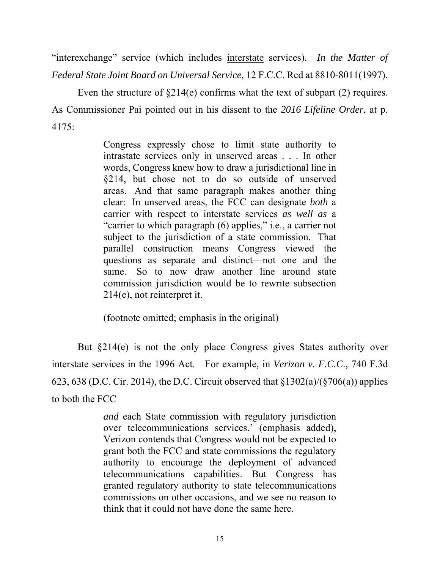"interexchange" service (which includes interstate services). *In the Matter of Federal State Joint Board on Universal Service,* 12 F.C.C. Rcd at 8810-8011(1997).

Even the structure of  $\S214(e)$  confirms what the text of subpart (2) requires. As Commissioner Pai pointed out in his dissent to the *2016 Lifeline Order*, at p. 4175:

> Congress expressly chose to limit state authority to intrastate services only in unserved areas . . . In other words, Congress knew how to draw a jurisdictional line in §214, but chose not to do so outside of unserved areas. And that same paragraph makes another thing clear: In unserved areas, the FCC can designate *both* a carrier with respect to interstate services *as well as* a "carrier to which paragraph (6) applies," i.e., a carrier not subject to the jurisdiction of a state commission. That parallel construction means Congress viewed the questions as separate and distinct—not one and the same. So to now draw another line around state commission jurisdiction would be to rewrite subsection 214(e), not reinterpret it.

(footnote omitted; emphasis in the original)

 But §214(e) is not the only place Congress gives States authority over interstate services in the 1996 Act. For example, in *Verizon v. F.C.C*., 740 F.3d 623, 638 (D.C. Cir. 2014), the D.C. Circuit observed that  $\frac{1302(a)}{\sqrt{706(a)}}$  applies to both the FCC

> *and* each State commission with regulatory jurisdiction over telecommunications services.' (emphasis added), Verizon contends that Congress would not be expected to grant both the FCC and state commissions the regulatory authority to encourage the deployment of advanced telecommunications capabilities. But Congress has granted regulatory authority to state telecommunications commissions on other occasions, and we see no reason to think that it could not have done the same here.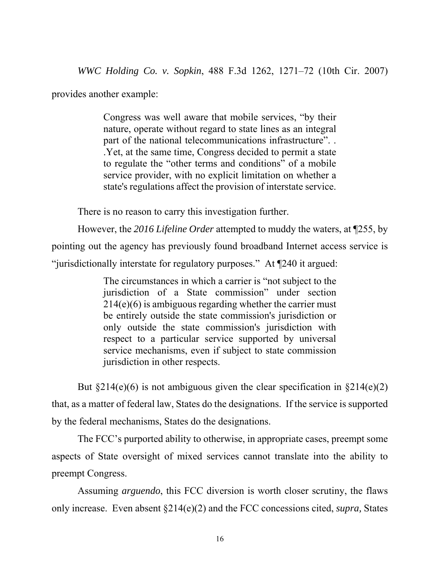*WWC Holding Co. v. Sopkin*, 488 F.3d 1262, 1271–72 (10th Cir. 2007)

provides another example:

Congress was well aware that mobile services, "by their nature, operate without regard to state lines as an integral part of the national telecommunications infrastructure". . .Yet, at the same time, Congress decided to permit a state to regulate the "other terms and conditions" of a mobile service provider, with no explicit limitation on whether a state's regulations affect the provision of interstate service.

There is no reason to carry this investigation further.

 However, the *2016 Lifeline Order* attempted to muddy the waters, at ¶255, by pointing out the agency has previously found broadband Internet access service is "jurisdictionally interstate for regulatory purposes." At ¶240 it argued:

> The circumstances in which a carrier is "not subject to the jurisdiction of a State commission" under section 214(e)(6) is ambiguous regarding whether the carrier must be entirely outside the state commission's jurisdiction or only outside the state commission's jurisdiction with respect to a particular service supported by universal service mechanisms, even if subject to state commission jurisdiction in other respects.

But  $\S214(e)(6)$  is not ambiguous given the clear specification in  $\S214(e)(2)$ that, as a matter of federal law, States do the designations. If the service is supported by the federal mechanisms, States do the designations.

 The FCC's purported ability to otherwise, in appropriate cases, preempt some aspects of State oversight of mixed services cannot translate into the ability to preempt Congress.

 Assuming *arguendo*, this FCC diversion is worth closer scrutiny, the flaws only increase. Even absent §214(e)(2) and the FCC concessions cited, *supra,* States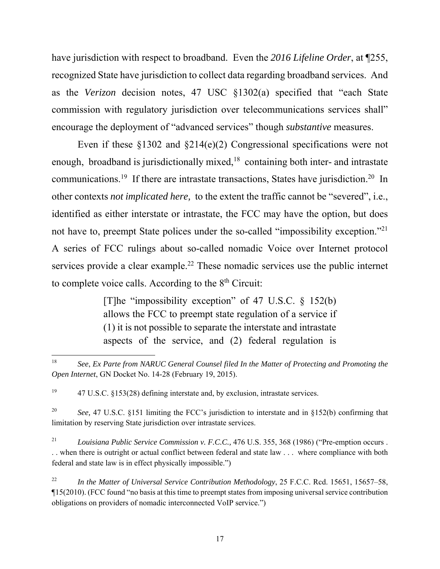have jurisdiction with respect to broadband. Even the *2016 Lifeline Order*, at ¶255, recognized State have jurisdiction to collect data regarding broadband services. And as the *Verizon* decision notes, 47 USC §1302(a) specified that "each State commission with regulatory jurisdiction over telecommunications services shall" encourage the deployment of "advanced services" though *substantive* measures.

 Even if these §1302 and §214(e)(2) Congressional specifications were not enough, broadband is jurisdictionally mixed,<sup>18</sup> containing both inter- and intrastate communications.<sup>19</sup> If there are intrastate transactions, States have jurisdiction.<sup>20</sup> In other contexts *not implicated here,* to the extent the traffic cannot be "severed", i.e., identified as either interstate or intrastate, the FCC may have the option, but does not have to, preempt State polices under the so-called "impossibility exception."21 A series of FCC rulings about so-called nomadic Voice over Internet protocol services provide a clear example.<sup>22</sup> These nomadic services use the public internet to complete voice calls. According to the 8<sup>th</sup> Circuit:

> [T]he "impossibility exception" of 47 U.S.C.  $\S$  152(b) allows the FCC to preempt state regulation of a service if (1) it is not possible to separate the interstate and intrastate aspects of the service, and (2) federal regulation is

 18 *See*, *Ex Parte from NARUC General Counsel filed In the Matter of Protecting and Promoting the Open Internet*, GN Docket No. 14-28 (February 19, 2015).

<sup>&</sup>lt;sup>19</sup> 47 U.S.C. §153(28) defining interstate and, by exclusion, intrastate services.

<sup>&</sup>lt;sup>20</sup> *See,* 47 U.S.C. §151 limiting the FCC's jurisdiction to interstate and in §152(b) confirming that limitation by reserving State jurisdiction over intrastate services.

<sup>21</sup> *Louisiana Public Service Commission v. F.C.C.,* 476 U.S. 355, 368 (1986) ("Pre-emption occurs . . . when there is outright or actual conflict between federal and state law . . . where compliance with both federal and state law is in effect physically impossible.")

<sup>22</sup> *In the Matter of Universal Service Contribution Methodology*, 25 F.C.C. Rcd. 15651, 15657–58, ¶15(2010). (FCC found "no basis at this time to preempt states from imposing universal service contribution obligations on providers of nomadic interconnected VoIP service.")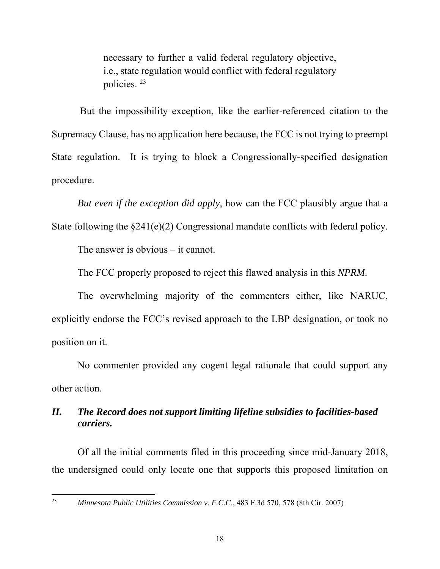necessary to further a valid federal regulatory objective, i.e., state regulation would conflict with federal regulatory policies. 23

 But the impossibility exception, like the earlier-referenced citation to the Supremacy Clause, has no application here because, the FCC is not trying to preempt State regulation. It is trying to block a Congressionally-specified designation procedure.

*But even if the exception did apply*, how can the FCC plausibly argue that a State following the §241(e)(2) Congressional mandate conflicts with federal policy.

The answer is obvious – it cannot.

The FCC properly proposed to reject this flawed analysis in this *NPRM.* 

The overwhelming majority of the commenters either, like NARUC, explicitly endorse the FCC's revised approach to the LBP designation, or took no position on it.

No commenter provided any cogent legal rationale that could support any other action.

## *II. The Record does not support limiting lifeline subsidies to facilities-based carriers.*

Of all the initial comments filed in this proceeding since mid-January 2018, the undersigned could only locate one that supports this proposed limitation on

<sup>23</sup> *Minnesota Public Utilities Commission v. F.C.C*., 483 F.3d 570, 578 (8th Cir. 2007)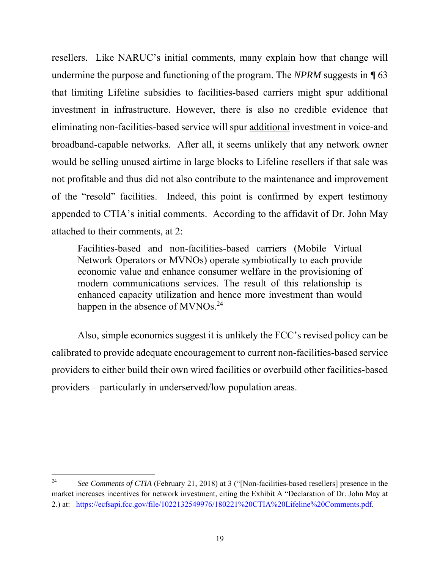resellers. Like NARUC's initial comments, many explain how that change will undermine the purpose and functioning of the program. The *NPRM* suggests in *¶* 63 that limiting Lifeline subsidies to facilities-based carriers might spur additional investment in infrastructure. However, there is also no credible evidence that eliminating non-facilities-based service will spur additional investment in voice-and broadband-capable networks. After all, it seems unlikely that any network owner would be selling unused airtime in large blocks to Lifeline resellers if that sale was not profitable and thus did not also contribute to the maintenance and improvement of the "resold" facilities. Indeed, this point is confirmed by expert testimony appended to CTIA's initial comments. According to the affidavit of Dr. John May attached to their comments, at 2:

Facilities-based and non-facilities-based carriers (Mobile Virtual Network Operators or MVNOs) operate symbiotically to each provide economic value and enhance consumer welfare in the provisioning of modern communications services. The result of this relationship is enhanced capacity utilization and hence more investment than would happen in the absence of MVNOs.<sup>24</sup>

Also, simple economics suggest it is unlikely the FCC's revised policy can be calibrated to provide adequate encouragement to current non-facilities-based service providers to either build their own wired facilities or overbuild other facilities-based providers – particularly in underserved/low population areas.

<sup>&</sup>lt;sup>24</sup> *See Comments of CTIA* (February 21, 2018) at 3 ("[Non-facilities-based resellers] presence in the market increases incentives for network investment, citing the Exhibit A "Declaration of Dr. John May at 2.) at: https://ecfsapi.fcc.gov/file/1022132549976/180221%20CTIA%20Lifeline%20Comments.pdf.